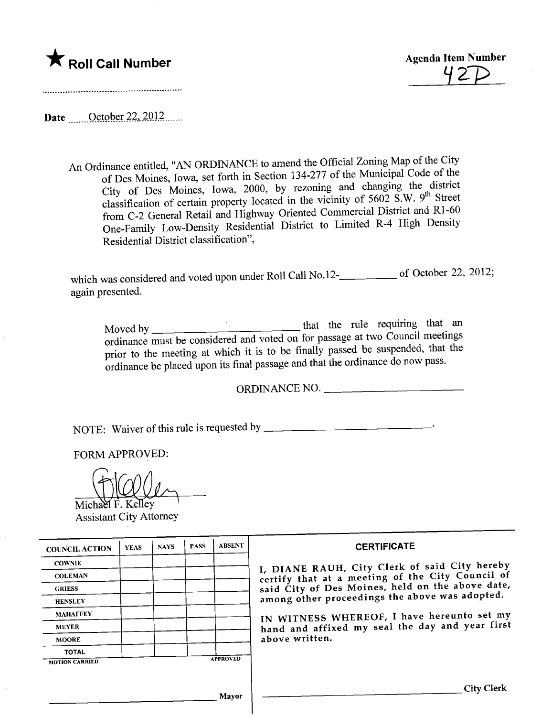



.-\_...--\_.................................................................

Date <u>October 22, 2012</u>

An Ordinance entitled, "AN ORDINANCE to amend the Official Zoning Map of the City of Des Moines, Iowa, set forth in Section 134-277 of the Municipal Code of the City of Des Moines, Iowa, 2000, by rezoning and changing the district classification of certain property located in the vicinity of 5602 S.W. 9<sup>th</sup> Street from C-2 General Retail and Highway Oriented Commercial District and Rl-60 One-Family Low-Density Residential District to Limited R-4 High Density Residential District classification",

which was considered and voted upon under Roll Call No.12- $\frac{1}{2}$  of October 22, 2012; again presented.

Moved by that the rule requirng that an ordinance must be considered and voted on for passage at two Council meetings prior to the meeting at which it is to be finally passed be suspended, that the ordinance be placed upon its final passage and that the ordinance do now pass.

ORDINANCE NO.

NOTE: Waiver ofthis rule is requested by

FORM APPROVED:

Michael F. Kelley Assistant City Attorney

| <b>COUNCIL ACTION</b> | <b>YEAS</b> | <b>NAYS</b> | <b>PASS</b> | <b>ABSENT</b>   | <b>CERTIFICATE</b>                                                                                                                                                                                                                                                        |
|-----------------------|-------------|-------------|-------------|-----------------|---------------------------------------------------------------------------------------------------------------------------------------------------------------------------------------------------------------------------------------------------------------------------|
| <b>COWNIE</b>         |             |             |             |                 | I, DIANE RAUH, City Clerk of said City hereby                                                                                                                                                                                                                             |
| <b>COLEMAN</b>        |             |             |             |                 | certify that at a meeting of the City Council of<br>said City of Des Moines, held on the above date,<br>among other proceedings the above was adopted.<br>IN WITNESS WHEREOF, I have hereunto set my<br>hand and affixed my seal the day and year first<br>above written. |
| <b>GRIESS</b>         |             |             |             |                 |                                                                                                                                                                                                                                                                           |
| <b>HENSLEY</b>        |             |             |             |                 |                                                                                                                                                                                                                                                                           |
| <b>MAHAFFEY</b>       |             |             |             |                 |                                                                                                                                                                                                                                                                           |
| <b>MEYER</b>          |             |             |             |                 |                                                                                                                                                                                                                                                                           |
| <b>MOORE</b>          |             |             |             |                 |                                                                                                                                                                                                                                                                           |
| <b>TOTAL</b>          |             |             |             |                 |                                                                                                                                                                                                                                                                           |
| <b>MOTION CARRIED</b> |             |             |             | <b>APPROVED</b> |                                                                                                                                                                                                                                                                           |
|                       |             |             |             |                 |                                                                                                                                                                                                                                                                           |
|                       |             |             |             |                 | <b>City Clerk</b>                                                                                                                                                                                                                                                         |
| Mavor                 |             |             |             |                 |                                                                                                                                                                                                                                                                           |